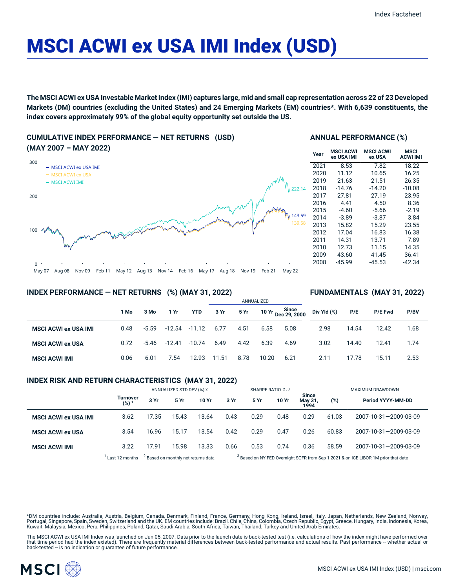# MSCI ACWI ex USA IMI Index (USD)

The MSCI ACWI ex USA Investable Market Index (IMI) captures large, mid and small cap representation across 22 of 23 Developed Markets (DM) countries (excluding the United States) and 24 Emerging Markets (EM) countries\*. With 6,639 constituents, the **index covers approximately 99% of the global equity opportunity set outside the US.**

**CUMULATIVE INDEX PERFORMANCE — NET RETURNS (USD) (MAY 2007 – MAY 2022)**



### **ANNUAL PERFORMANCE (%)**

| Year | <b>MSCI ACWI</b><br>ex USA IMI | <b>MSCI ACWI</b><br>ex USA | MSCI<br><b>ACWI IMI</b> |
|------|--------------------------------|----------------------------|-------------------------|
| 2021 | 8.53                           | 7.82                       | 18.22                   |
| 2020 | 11.12                          | 10.65                      | 16.25                   |
| 2019 | 21.63                          | 21.51                      | 26.35                   |
| 2018 | $-14.76$                       | $-14.20$                   | $-10.08$                |
| 2017 | 27.81                          | 27.19                      | 23.95                   |
| 2016 | 4.41                           | 4.50                       | 8.36                    |
| 2015 | $-4.60$                        | -5.66                      | $-2.19$                 |
| 2014 | $-3.89$                        | $-3.87$                    | 3.84                    |
| 2013 | 15.82                          | 15.29                      | 23.55                   |
| 2012 | 17.04                          | 16.83                      | 16.38                   |
| 2011 | $-14.31$                       | $-13.71$                   | $-7.89$                 |
| 2010 | 12.73                          | 11.15                      | 14.35                   |
| 2009 | 43.60                          | 41.45                      | 36.41                   |
| 2008 | $-45.99$                       | $-45.53$                   | -42.34                  |
|      |                                |                            |                         |

**FUNDAMENTALS (MAY 31, 2022)**

### **INDEX PERFORMANCE — NET RETURNS (%) (MAY 31, 2022)**

#### ANNUALIZED **1 Mo 3 Mo 1 Yr YTD 3 Yr 5 Yr 10 Yr Since Dec 29, 2000 MSCI ACWI ex USA IMI** 0.48 -5.59 -12.54 -11.12 6.77 4.51 6.58 5.08 **MSCI ACWI ex USA** 0.72 -5.46 -12.41 -10.74 6.49 4.42 6.39 4.69 **MSCI ACWI IMI** 0.06 -6.01 -7.54 -12.93 11.51 8.78 10.20 6.21 **Div Yld (%) P/E P/E Fwd P/BV** 2.98 14.54 12.42 1.68 3.02 14.40 12.41 1.74 2.11 17.78 15.11 2.53

## **INDEX RISK AND RETURN CHARACTERISTICS (MAY 31, 2022)**

|                             |                              | ANNUALIZED STD DEV (%) 2                       |       | SHARPE RATIO 2,3 |      |                                                                                               |       | MAXIMUM DRAWDOWN                |       |                       |
|-----------------------------|------------------------------|------------------------------------------------|-------|------------------|------|-----------------------------------------------------------------------------------------------|-------|---------------------------------|-------|-----------------------|
|                             | Turnover<br>(%) <sup>1</sup> | 3 Yr                                           | 5 Yr  | 10 Yr            | 3 Yr | 5 Yr                                                                                          | 10 Yr | <b>Since</b><br>May 31,<br>1994 | (%)   | Period YYYY-MM-DD     |
| <b>MSCI ACWI ex USA IMI</b> | 3.62                         | 17.35                                          | 15.43 | 13.64            | 0.43 | 0.29                                                                                          | 0.48  | 0.29                            | 61.03 | 2007-10-31-2009-03-09 |
| <b>MSCI ACWI ex USA</b>     | 3.54                         | 16.96                                          | 15.17 | 13.54            | 0.42 | 0.29                                                                                          | 0.47  | 0.26                            | 60.83 | 2007-10-31-2009-03-09 |
| <b>MSCI ACWI IMI</b>        | 3.22                         | 17.91                                          | 15.98 | 13.33            | 0.66 | 0.53                                                                                          | 0.74  | 0.36                            | 58.59 | 2007-10-31-2009-03-09 |
|                             | Last 12 months               | <sup>2</sup> Based on monthly net returns data |       |                  |      | <sup>3</sup> Based on NY FED Overnight SOFR from Sep 1 2021 & on ICE LIBOR 1M prior that date |       |                                 |       |                       |

\*DM countries include: Australia, Austria, Belgium, Canada, Denmark, Finland, France, Germany, Hong Kong, Ireland, Israel, Italy, Japan, Netherlands, New Zealand, Norway, Portugal, Singapore, Spain, Sweden, Switzerland and the UK. EM countries include: Brazil, Chile, China, Colombia, Czech Republic, Egypt, Greece, Hungary, India, Indonesia, Korea, Kuwait, Malaysia, Mexico, Peru, Philippines, Poland, Qatar, Saudi Arabia, South Africa, Taiwan, Thailand, Turkey and United Arab Emirates.

The MSCI ACWI ex USA IMI Index was launched on Jun 05, 2007. Data prior to the launch date is back-tested test (i.e. calculations of how the index might have performed over<br>that time period had the index existed). There ar

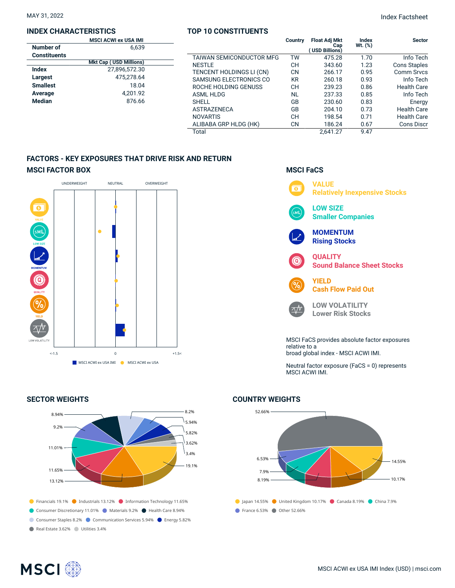## **INDEX CHARACTERISTICS**

## **TOP 10 CONSTITUENTS**

MAY 31, 2022 Index Factsheet

|                     | <b>MSCI ACWI ex USA IMI</b>   |                          | <b>Country</b> | <b>Float Adj Mkt</b>  | Index        | <b>Sector</b>       |
|---------------------|-------------------------------|--------------------------|----------------|-----------------------|--------------|---------------------|
| Number of           | 6,639                         |                          |                | Cap<br>(USD Billions) | $Wt.$ $(\%)$ |                     |
| <b>Constituents</b> |                               | TAIWAN SEMICONDUCTOR MFG | TW             | 475.28                | 1.70         | Info Tech           |
|                     | <b>Mkt Cap (USD Millions)</b> | <b>NESTLE</b>            | <b>CH</b>      | 343.60                | 1.23         | <b>Cons Staples</b> |
| <b>Index</b>        | 27,896,572.30                 | TENCENT HOLDINGS LI (CN) | <b>CN</b>      | 266.17                | 0.95         | Comm Srvcs          |
| Largest             | 475,278.64                    | SAMSUNG ELECTRONICS CO   | <b>KR</b>      | 260.18                | 0.93         | Info Tech           |
| <b>Smallest</b>     | 18.04                         | ROCHE HOLDING GENUSS     | <b>CH</b>      | 239.23                | 0.86         | <b>Health Care</b>  |
| Average             | 4.201.92                      | ASML HLDG                | <b>NL</b>      | 237.33                | 0.85         | Info Tech           |
| <b>Median</b>       | 876.66                        | <b>SHELL</b>             | GB             | 230.60                | 0.83         | Energy              |
|                     |                               | <b>ASTRAZENECA</b>       | GB             | 204.10                | 0.73         | <b>Health Care</b>  |
|                     |                               | <b>NOVARTIS</b>          | <b>CH</b>      | 198.54                | 0.71         | <b>Health Care</b>  |
|                     |                               | ALIBABA GRP HLDG (HK)    | <b>CN</b>      | 186.24                | 0.67         | <b>Cons Discr</b>   |
|                     |                               | Total                    |                | 2.641.27              | 9.47         |                     |

## **FACTORS - KEY EXPOSURES THAT DRIVE RISK AND RETURN MSCI FACTOR BOX**



## **SECTOR WEIGHTS**



## **MSCI FaCS**



broad global index - MSCI ACWI IMI.

Neutral factor exposure (FaCS = 0) represents MSCI ACWI IMI.

## **COUNTRY WEIGHTS**